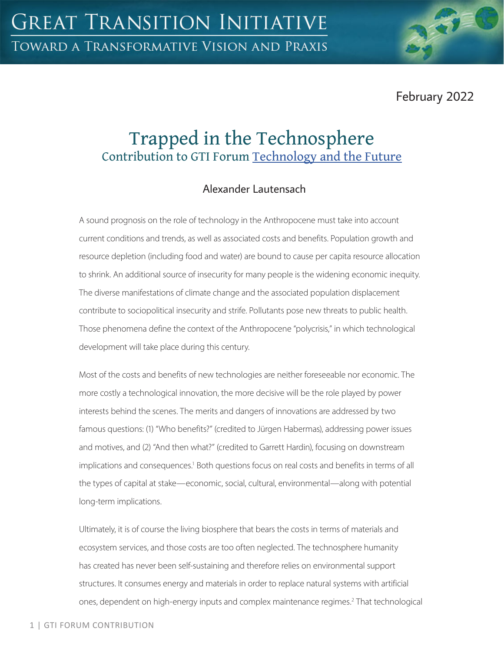February 2022

# Trapped in the Technosphere Contribution to GTI Forum [Technology and the Future](https://greattransition.org/gti-forum/tech-and-the-future)

# Alexander Lautensach

A sound prognosis on the role of technology in the Anthropocene must take into account current conditions and trends, as well as associated costs and benefits. Population growth and resource depletion (including food and water) are bound to cause per capita resource allocation to shrink. An additional source of insecurity for many people is the widening economic inequity. The diverse manifestations of climate change and the associated population displacement contribute to sociopolitical insecurity and strife. Pollutants pose new threats to public health. Those phenomena define the context of the Anthropocene "polycrisis," in which technological development will take place during this century.

Most of the costs and benefits of new technologies are neither foreseeable nor economic. The more costly a technological innovation, the more decisive will be the role played by power interests behind the scenes. The merits and dangers of innovations are addressed by two famous questions: (1) "Who benefits?" (credited to Jürgen Habermas), addressing power issues and motives, and (2) "And then what?" (credited to Garrett Hardin), focusing on downstream implications and consequences.<sup>1</sup> Both questions focus on real costs and benefits in terms of all the types of capital at stake—economic, social, cultural, environmental—along with potential long-term implications.

Ultimately, it is of course the living biosphere that bears the costs in terms of materials and ecosystem services, and those costs are too often neglected. The technosphere humanity has created has never been self-sustaining and therefore relies on environmental support structures. It consumes energy and materials in order to replace natural systems with artificial ones, dependent on high-energy inputs and complex maintenance regimes.<sup>2</sup> That technological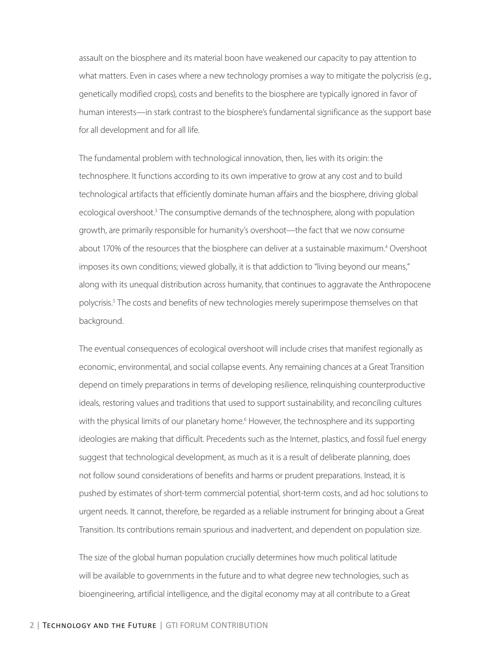assault on the biosphere and its material boon have weakened our capacity to pay attention to what matters. Even in cases where a new technology promises a way to mitigate the polycrisis (e.g., genetically modified crops), costs and benefits to the biosphere are typically ignored in favor of human interests—in stark contrast to the biosphere's fundamental significance as the support base for all development and for all life.

The fundamental problem with technological innovation, then, lies with its origin: the technosphere. It functions according to its own imperative to grow at any cost and to build technological artifacts that efficiently dominate human affairs and the biosphere, driving global ecological overshoot.<sup>3</sup> The consumptive demands of the technosphere, along with population growth, are primarily responsible for humanity's overshoot—the fact that we now consume about 170% of the resources that the biosphere can deliver at a sustainable maximum.<sup>4</sup> Overshoot imposes its own conditions; viewed globally, it is that addiction to "living beyond our means," along with its unequal distribution across humanity, that continues to aggravate the Anthropocene polycrisis.<sup>5</sup> The costs and benefits of new technologies merely superimpose themselves on that background.

The eventual consequences of ecological overshoot will include crises that manifest regionally as economic, environmental, and social collapse events. Any remaining chances at a Great Transition depend on timely preparations in terms of developing resilience, relinquishing counterproductive ideals, restoring values and traditions that used to support sustainability, and reconciling cultures with the physical limits of our planetary home.<sup>6</sup> However, the technosphere and its supporting ideologies are making that difficult. Precedents such as the Internet, plastics, and fossil fuel energy suggest that technological development, as much as it is a result of deliberate planning, does not follow sound considerations of benefits and harms or prudent preparations. Instead, it is pushed by estimates of short-term commercial potential, short-term costs, and ad hoc solutions to urgent needs. It cannot, therefore, be regarded as a reliable instrument for bringing about a Great Transition. Its contributions remain spurious and inadvertent, and dependent on population size.

The size of the global human population crucially determines how much political latitude will be available to governments in the future and to what degree new technologies, such as bioengineering, artificial intelligence, and the digital economy may at all contribute to a Great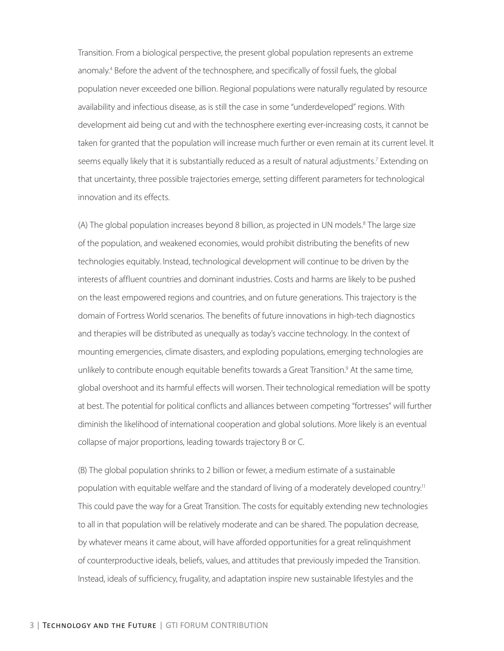Transition. From a biological perspective, the present global population represents an extreme anomaly.<sup>4</sup> Before the advent of the technosphere, and specifically of fossil fuels, the global population never exceeded one billion. Regional populations were naturally regulated by resource availability and infectious disease, as is still the case in some "underdeveloped" regions. With development aid being cut and with the technosphere exerting ever-increasing costs, it cannot be taken for granted that the population will increase much further or even remain at its current level. It seems equally likely that it is substantially reduced as a result of natural adjustments.<sup>7</sup> Extending on that uncertainty, three possible trajectories emerge, setting different parameters for technological innovation and its effects.

(A) The global population increases beyond 8 billion, as projected in UN models.<sup>8</sup> The large size of the population, and weakened economies, would prohibit distributing the benefits of new technologies equitably. Instead, technological development will continue to be driven by the interests of affluent countries and dominant industries. Costs and harms are likely to be pushed on the least empowered regions and countries, and on future generations. This trajectory is the domain of Fortress World scenarios. The benefits of future innovations in high-tech diagnostics and therapies will be distributed as unequally as today's vaccine technology. In the context of mounting emergencies, climate disasters, and exploding populations, emerging technologies are unlikely to contribute enough equitable benefits towards a Great Transition.<sup>9</sup> At the same time, global overshoot and its harmful effects will worsen. Their technological remediation will be spotty at best. The potential for political conflicts and alliances between competing "fortresses" will further diminish the likelihood of international cooperation and global solutions. More likely is an eventual collapse of major proportions, leading towards trajectory B or C.

(B) The global population shrinks to 2 billion or fewer, a medium estimate of a sustainable population with equitable welfare and the standard of living of a moderately developed country.<sup>11</sup> This could pave the way for a Great Transition. The costs for equitably extending new technologies to all in that population will be relatively moderate and can be shared. The population decrease, by whatever means it came about, will have afforded opportunities for a great relinquishment of counterproductive ideals, beliefs, values, and attitudes that previously impeded the Transition. Instead, ideals of sufficiency, frugality, and adaptation inspire new sustainable lifestyles and the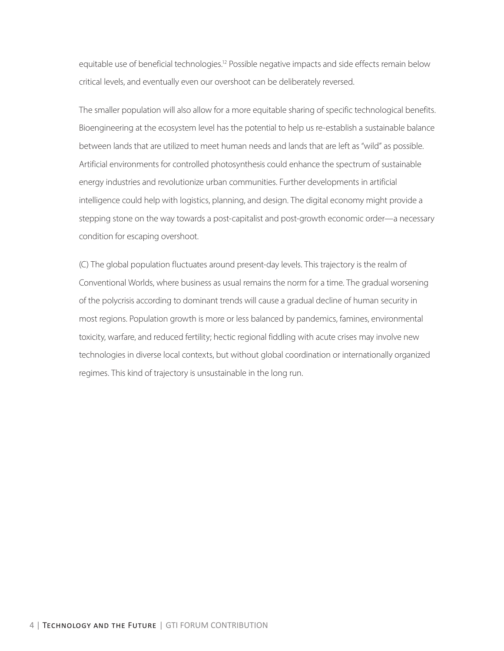equitable use of beneficial technologies.<sup>12</sup> Possible negative impacts and side effects remain below critical levels, and eventually even our overshoot can be deliberately reversed.

The smaller population will also allow for a more equitable sharing of specific technological benefits. Bioengineering at the ecosystem level has the potential to help us re-establish a sustainable balance between lands that are utilized to meet human needs and lands that are left as "wild" as possible. Artificial environments for controlled photosynthesis could enhance the spectrum of sustainable energy industries and revolutionize urban communities. Further developments in artificial intelligence could help with logistics, planning, and design. The digital economy might provide a stepping stone on the way towards a post-capitalist and post-growth economic order—a necessary condition for escaping overshoot.

(C) The global population fluctuates around present-day levels. This trajectory is the realm of Conventional Worlds, where business as usual remains the norm for a time. The gradual worsening of the polycrisis according to dominant trends will cause a gradual decline of human security in most regions. Population growth is more or less balanced by pandemics, famines, environmental toxicity, warfare, and reduced fertility; hectic regional fiddling with acute crises may involve new technologies in diverse local contexts, but without global coordination or internationally organized regimes. This kind of trajectory is unsustainable in the long run.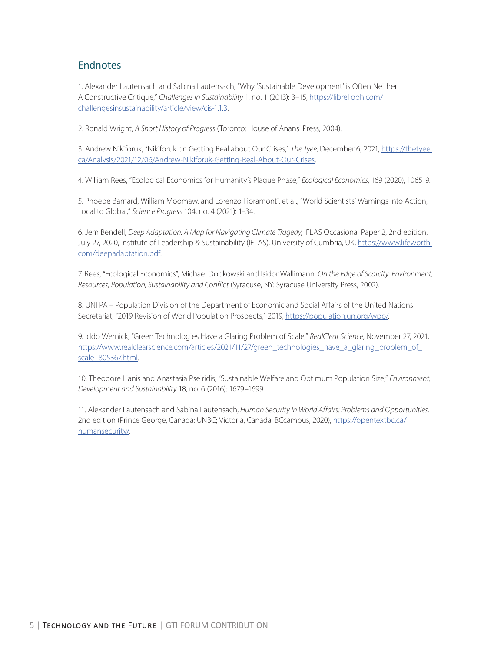#### **Endnotes**

1. Alexander Lautensach and Sabina Lautensach, "Why 'Sustainable Development' is Often Neither: A Constructive Critique," *Challenges in Sustainability* 1, no. 1 (2013): 3–15, [https://librelloph.com/](https://librelloph.com/challengesinsustainability/article/view/cis-1.1.3) [challengesinsustainability/article/view/cis-1.1.3](https://librelloph.com/challengesinsustainability/article/view/cis-1.1.3).

2. Ronald Wright, *A Short History of Progress* (Toronto: House of Anansi Press, 2004).

3. Andrew Nikiforuk, "Nikiforuk on Getting Real about Our Crises," *The Tyee*, December 6, 2021, [https://thetyee.](https://thetyee.ca/Analysis/2021/12/06/Andrew-Nikiforuk-Getting-Real-About-Our-Crises) [ca/Analysis/2021/12/06/Andrew-Nikiforuk-Getting-Real-About-Our-Crises.](https://thetyee.ca/Analysis/2021/12/06/Andrew-Nikiforuk-Getting-Real-About-Our-Crises)

4. William Rees, "Ecological Economics for Humanity's Plague Phase," *Ecological Economics*, 169 (2020), 106519.

5. Phoebe Barnard, William Moomaw, and Lorenzo Fioramonti, et al., "World Scientists' Warnings into Action, Local to Global," *Science Progress* 104, no. 4 (2021): 1–34.

6. Jem Bendell, *Deep Adaptation: A Map for Navigating Climate Tragedy*, IFLAS Occasional Paper 2, 2nd edition, July 27, 2020, Institute of Leadership & Sustainability (IFLAS), University of Cumbria, UK, [https://www.lifeworth.](https://www.lifeworth.com/deepadaptation.pdf) [com/deepadaptation.pdf.](https://www.lifeworth.com/deepadaptation.pdf)

7. Rees, "Ecological Economics"; Michael Dobkowski and Isidor Wallimann, *On the Edge of Scarcity: Environment, Resources, Population, Sustainability and Conflict* (Syracuse, NY: Syracuse University Press, 2002).

8. UNFPA – Population Division of the Department of Economic and Social Affairs of the United Nations Secretariat, "2019 Revision of World Population Prospects," 2019, <https://population.un.org/wpp/>.

9. Iddo Wernick, "Green Technologies Have a Glaring Problem of Scale," *RealClear Science*, November 27, 2021, [https://www.realclearscience.com/articles/2021/11/27/green\\_technologies\\_have\\_a\\_glaring\\_problem\\_of\\_](https://www.realclearscience.com/articles/2021/11/27/green_technologies_have_a_glaring_problem_of_scale_805367.html) [scale\\_805367.html](https://www.realclearscience.com/articles/2021/11/27/green_technologies_have_a_glaring_problem_of_scale_805367.html).

10. Theodore Lianis and Anastasia Pseiridis, "Sustainable Welfare and Optimum Population Size," *Environment, Development and Sustainability* 18, no. 6 (2016): 1679–1699.

11. Alexander Lautensach and Sabina Lautensach, *Human Security in World Affairs: Problems and Opportunities*, 2nd edition (Prince George, Canada: UNBC; Victoria, Canada: BCcampus, 2020), [https://opentextbc.ca/](https://opentextbc.ca/humansecurity/) [humansecurity/](https://opentextbc.ca/humansecurity/).